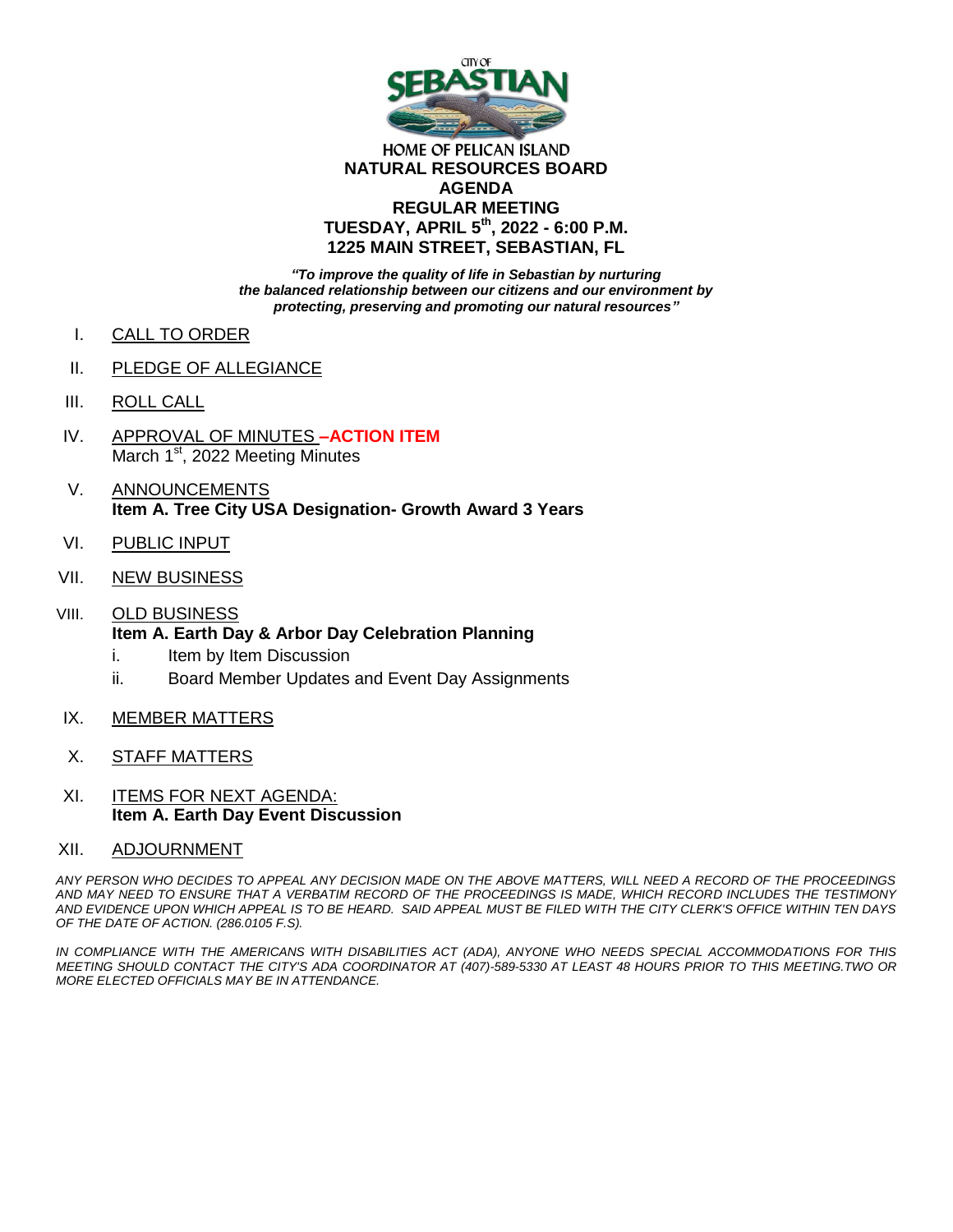

#### HOME OF PELICAN ISLAND **NATURAL RESOURCES BOARD AGENDA REGULAR MEETING TUESDAY, APRIL 5th, 2022 - 6:00 P.M. 1225 MAIN STREET, SEBASTIAN, FL**

*"To improve the quality of life in Sebastian by nurturing the balanced relationship between our citizens and our environment by protecting, preserving and promoting our natural resources"*

- I. CALL TO ORDER
- II. PLEDGE OF ALLEGIANCE
- III. ROLL CALL
- IV. APPROVAL OF MINUTES **–ACTION ITEM** March 1<sup>st</sup>, 2022 Meeting Minutes
- V. ANNOUNCEMENTS **Item A. Tree City USA Designation- Growth Award 3 Years**
- VI. PUBLIC INPUT
- VII. NEW BUSINESS
- VIII. OLD BUSINESS **Item A. Earth Day & Arbor Day Celebration Planning**
	- i. Item by Item Discussion
	- ii. Board Member Updates and Event Day Assignments
- IX. MEMBER MATTERS
- X. STAFF MATTERS
- XI. ITEMS FOR NEXT AGENDA: **Item A. Earth Day Event Discussion**
- XII. ADJOURNMENT

*ANY PERSON WHO DECIDES TO APPEAL ANY DECISION MADE ON THE ABOVE MATTERS, WILL NEED A RECORD OF THE PROCEEDINGS AND MAY NEED TO ENSURE THAT A VERBATIM RECORD OF THE PROCEEDINGS IS MADE, WHICH RECORD INCLUDES THE TESTIMONY AND EVIDENCE UPON WHICH APPEAL IS TO BE HEARD. SAID APPEAL MUST BE FILED WITH THE CITY CLERK'S OFFICE WITHIN TEN DAYS OF THE DATE OF ACTION. (286.0105 F.S).*

IN COMPLIANCE WITH THE AMERICANS WITH DISABILITIES ACT (ADA), ANYONE WHO NEEDS SPECIAL ACCOMMODATIONS FOR THIS *MEETING SHOULD CONTACT THE CITY'S ADA COORDINATOR AT (407)-589-5330 AT LEAST 48 HOURS PRIOR TO THIS MEETING.TWO OR MORE ELECTED OFFICIALS MAY BE IN ATTENDANCE.*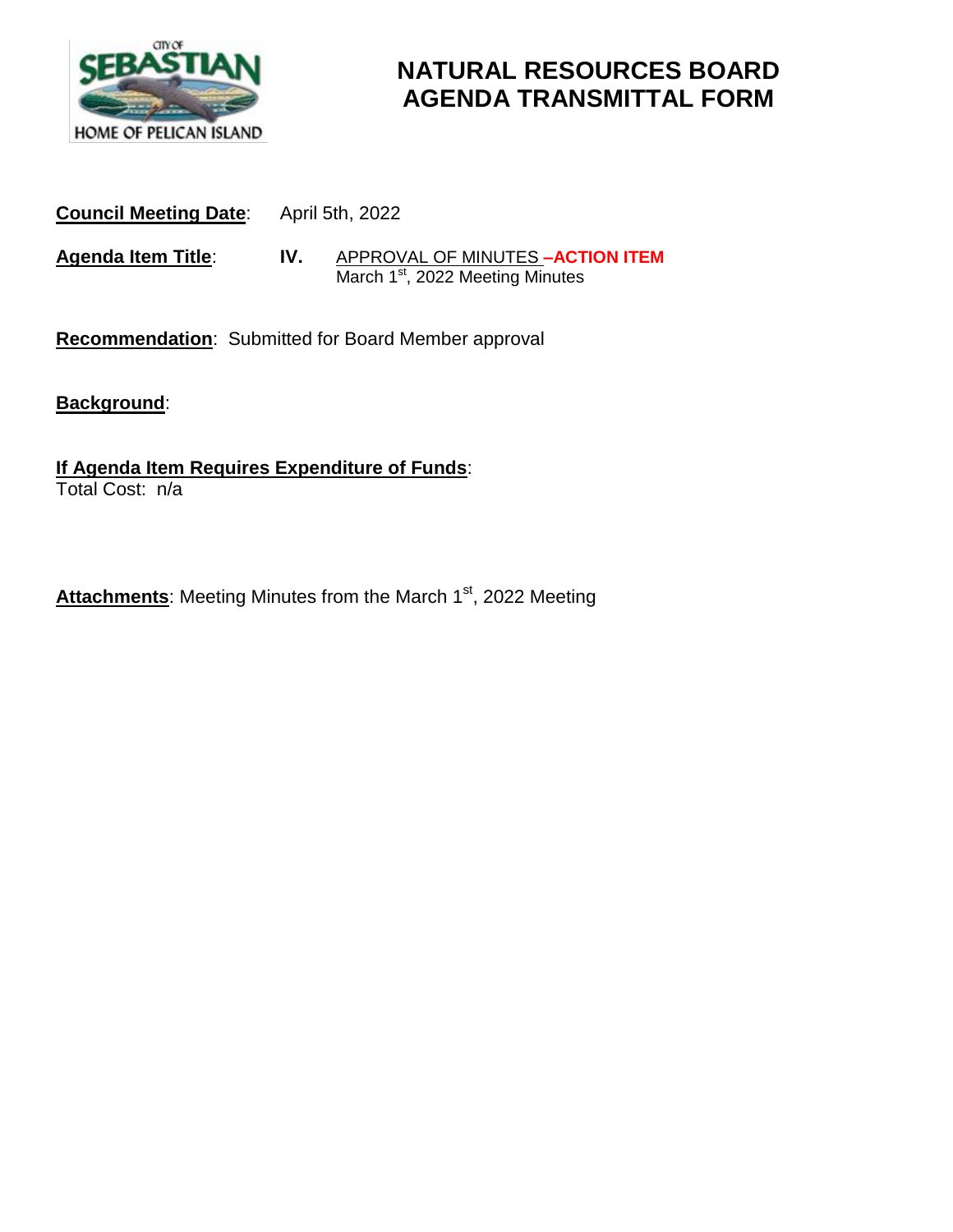

# **NATURAL RESOURCES BOARD AGENDA TRANSMITTAL FORM**

**Council Meeting Date**: April 5th, 2022

**Agenda Item Title**: **IV.** APPROVAL OF MINUTES **–ACTION ITEM March 1st, 2022 Meeting Minutes** 

**Recommendation**: Submitted for Board Member approval

**Background**:

**If Agenda Item Requires Expenditure of Funds**: Total Cost: n/a

Attachments: Meeting Minutes from the March 1<sup>st</sup>, 2022 Meeting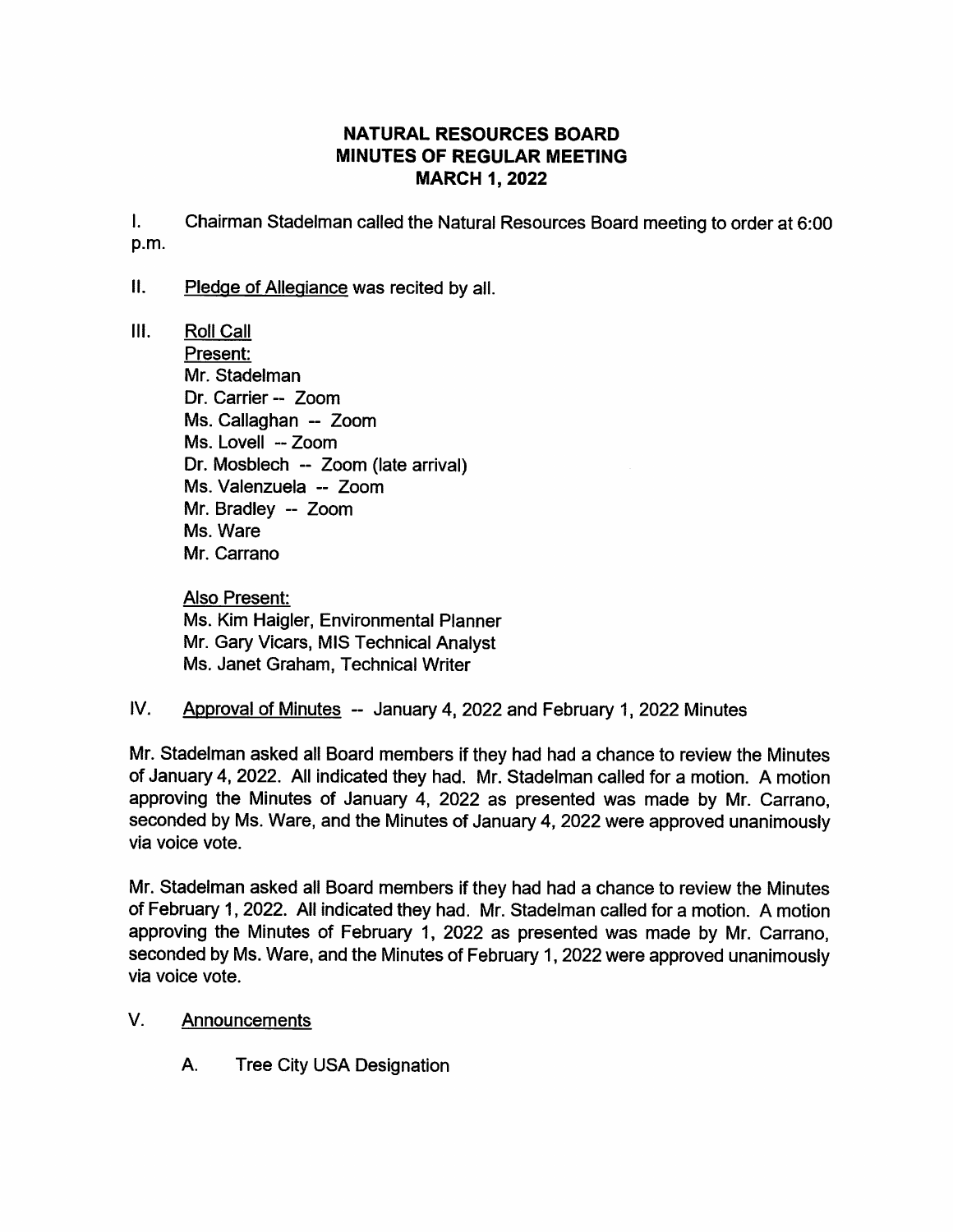## **NATURAL RESOURCES BOARD MINUTES OF REGULAR MEETING MARCH 1, 2022**

 $\mathbf{L}$ Chairman Stadelman called the Natural Resources Board meeting to order at 6:00 p.m.

- $II.$ Pledge of Allegiance was recited by all.
- Ш. **Roll Call** Present: Mr. Stadelman Dr. Carrier -- Zoom Ms. Callaghan -- Zoom Ms. Lovell -- Zoom Dr. Mosblech -- Zoom (late arrival) Ms. Valenzuela -- Zoom Mr. Bradlev -- Zoom Ms. Ware Mr. Carrano

Also Present: Ms. Kim Haigler, Environmental Planner Mr. Gary Vicars, MIS Technical Analyst Ms. Janet Graham. Technical Writer

 $IV.$ Approval of Minutes -- January 4, 2022 and February 1, 2022 Minutes

Mr. Stadelman asked all Board members if they had had a chance to review the Minutes of January 4, 2022. All indicated they had. Mr. Stadelman called for a motion. A motion approving the Minutes of January 4, 2022 as presented was made by Mr. Carrano, seconded by Ms. Ware, and the Minutes of January 4, 2022 were approved unanimously via voice vote.

Mr. Stadelman asked all Board members if they had had a chance to review the Minutes of February 1, 2022. All indicated they had. Mr. Stadelman called for a motion. A motion approving the Minutes of February 1, 2022 as presented was made by Mr. Carrano. seconded by Ms. Ware, and the Minutes of February 1, 2022 were approved unanimously via voice vote.

- $V_{\cdot}$ **Announcements** 
	- A. **Tree City USA Designation**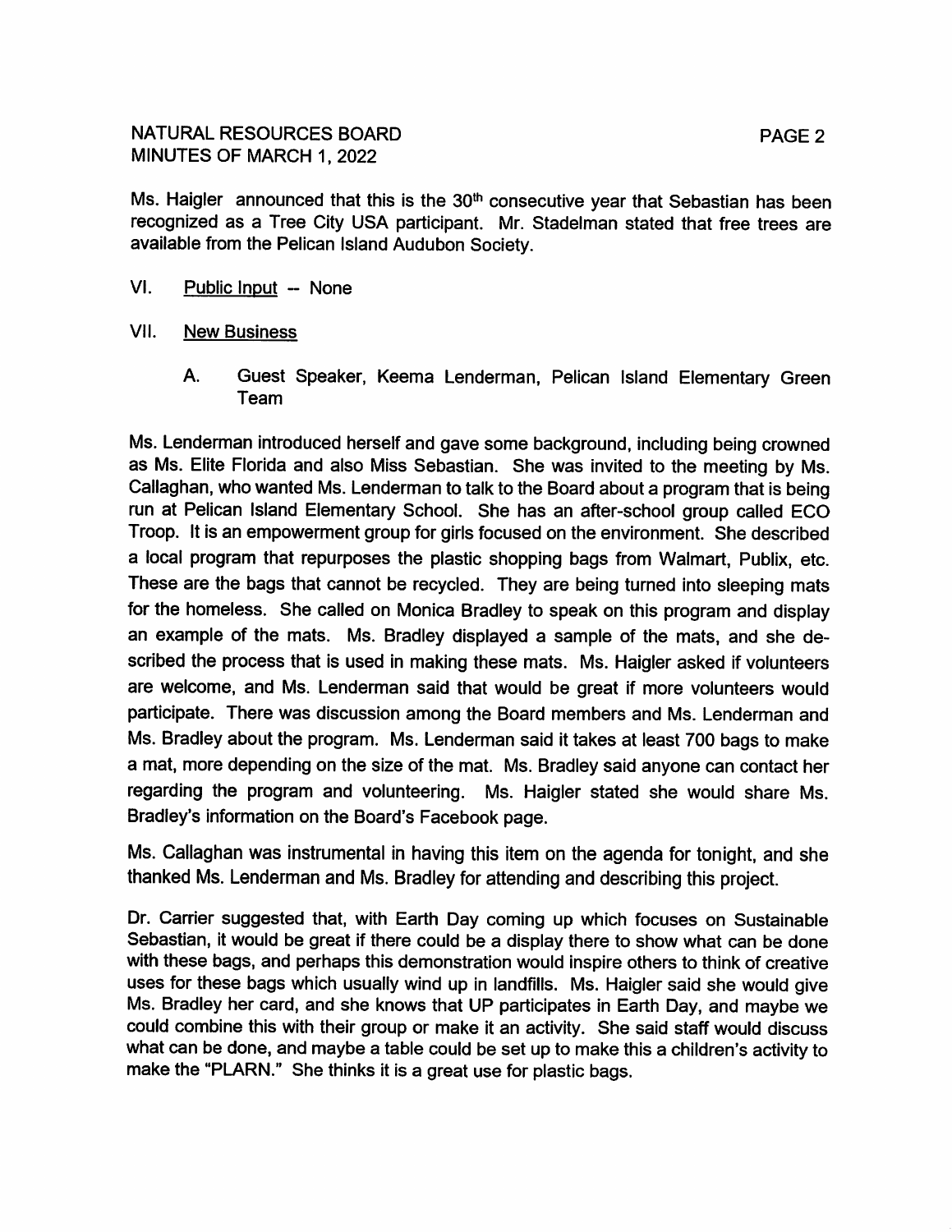Ms. Haigler announced that this is the 30<sup>th</sup> consecutive year that Sebastian has been recognized as a Tree City USA participant. Mr. Stadelman stated that free trees are available from the Pelican Island Audubon Society.

- VI. Public Input -- None
- VII. **New Business** 
	- A. Guest Speaker, Keema Lenderman, Pelican Island Elementary Green Team

Ms. Lenderman introduced herself and gave some background, including being crowned as Ms. Elite Florida and also Miss Sebastian. She was invited to the meeting by Ms. Callaghan, who wanted Ms. Lenderman to talk to the Board about a program that is being run at Pelican Island Elementary School. She has an after-school group called ECO Troop. It is an empowerment group for girls focused on the environment. She described a local program that repurposes the plastic shopping bags from Walmart, Publix, etc. These are the bags that cannot be recycled. They are being turned into sleeping mats for the homeless. She called on Monica Bradley to speak on this program and display an example of the mats. Ms. Bradley displayed a sample of the mats, and she described the process that is used in making these mats. Ms. Haigler asked if volunteers are welcome, and Ms. Lenderman said that would be great if more volunteers would participate. There was discussion among the Board members and Ms. Lenderman and Ms. Bradley about the program. Ms. Lenderman said it takes at least 700 bags to make a mat, more depending on the size of the mat. Ms. Bradley said anyone can contact her regarding the program and volunteering. Ms. Haigler stated she would share Ms. Bradley's information on the Board's Facebook page.

Ms. Callaghan was instrumental in having this item on the agenda for tonight, and she thanked Ms. Lenderman and Ms. Bradley for attending and describing this project.

Dr. Carrier suggested that, with Earth Day coming up which focuses on Sustainable Sebastian, it would be great if there could be a display there to show what can be done with these bags, and perhaps this demonstration would inspire others to think of creative uses for these bags which usually wind up in landfills. Ms. Haigler said she would give Ms. Bradley her card, and she knows that UP participates in Earth Day, and maybe we could combine this with their group or make it an activity. She said staff would discuss what can be done, and maybe a table could be set up to make this a children's activity to make the "PLARN." She thinks it is a great use for plastic bags.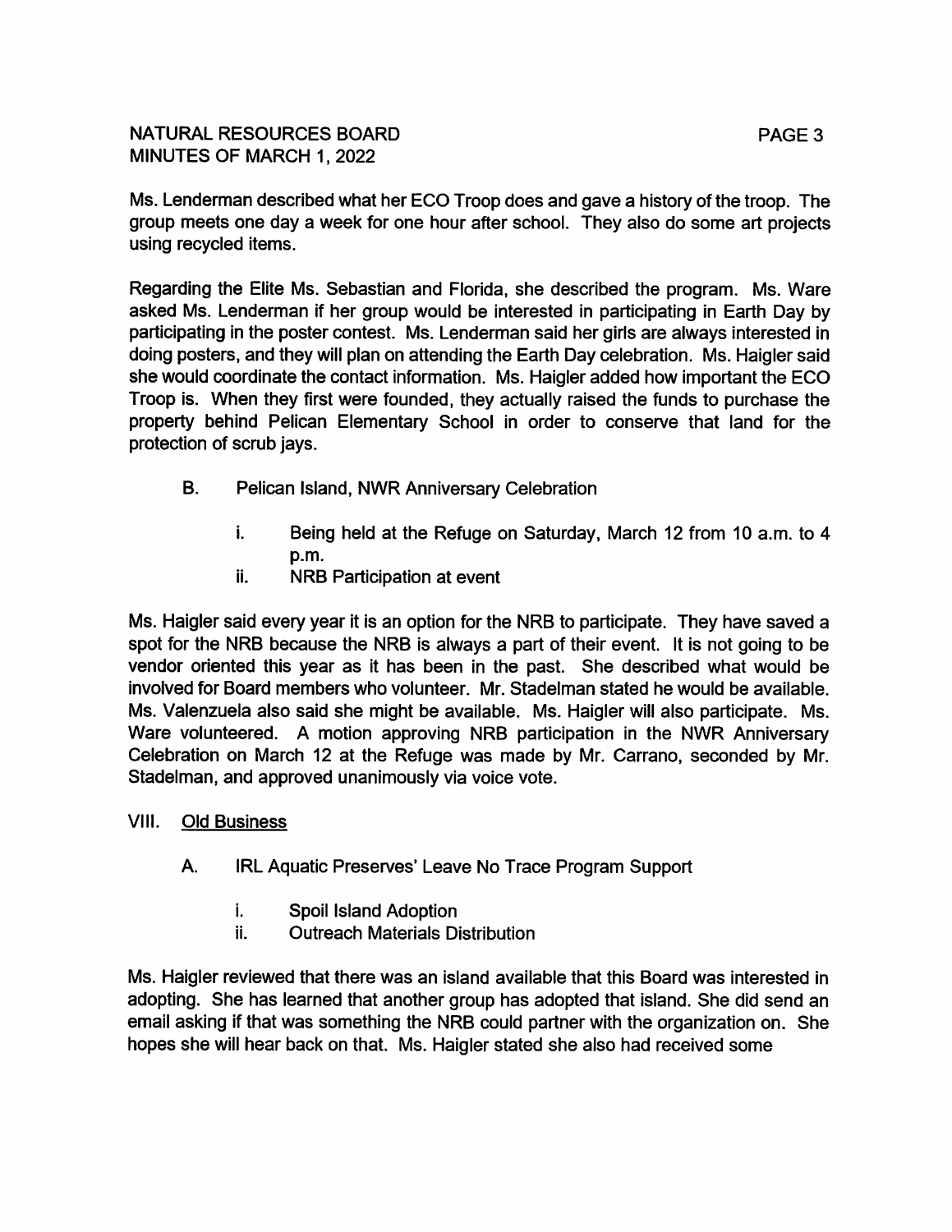Ms. Lenderman described what her ECO Troop does and gave a history of the troop. The group meets one day a week for one hour after school. They also do some art projects using recycled items.

Regarding the Elite Ms. Sebastian and Florida, she described the program. Ms. Ware asked Ms. Lenderman if her group would be interested in participating in Earth Day by participating in the poster contest. Ms. Lenderman said her girls are always interested in doing posters, and they will plan on attending the Earth Day celebration. Ms. Haigler said she would coordinate the contact information. Ms. Haigler added how important the ECO Troop is. When they first were founded, they actually raised the funds to purchase the property behind Pelican Elementary School in order to conserve that land for the protection of scrub javs.

- $B<sub>1</sub>$ Pelican Island, NWR Anniversary Celebration
	- $\mathbf{i}$ . Being held at the Refuge on Saturday, March 12 from 10 a.m. to 4  $p.m.$
	- ii. **NRB Participation at event**

Ms. Haigler said every year it is an option for the NRB to participate. They have saved a spot for the NRB because the NRB is always a part of their event. It is not going to be vendor oriented this year as it has been in the past. She described what would be involved for Board members who volunteer. Mr. Stadelman stated he would be available. Ms. Valenzuela also said she might be available. Ms. Haigler will also participate. Ms. Ware volunteered. A motion approving NRB participation in the NWR Anniversary Celebration on March 12 at the Refuge was made by Mr. Carrano, seconded by Mr. Stadelman, and approved unanimously via voice vote.

- VIII. **Old Business** 
	- **A.** IRL Aquatic Preserves' Leave No Trace Program Support
		- i. Spoil Island Adoption
		- ii. **Outreach Materials Distribution**

Ms. Haigler reviewed that there was an island available that this Board was interested in adopting. She has learned that another group has adopted that island. She did send an email asking if that was something the NRB could partner with the organization on. She hopes she will hear back on that. Ms. Haigler stated she also had received some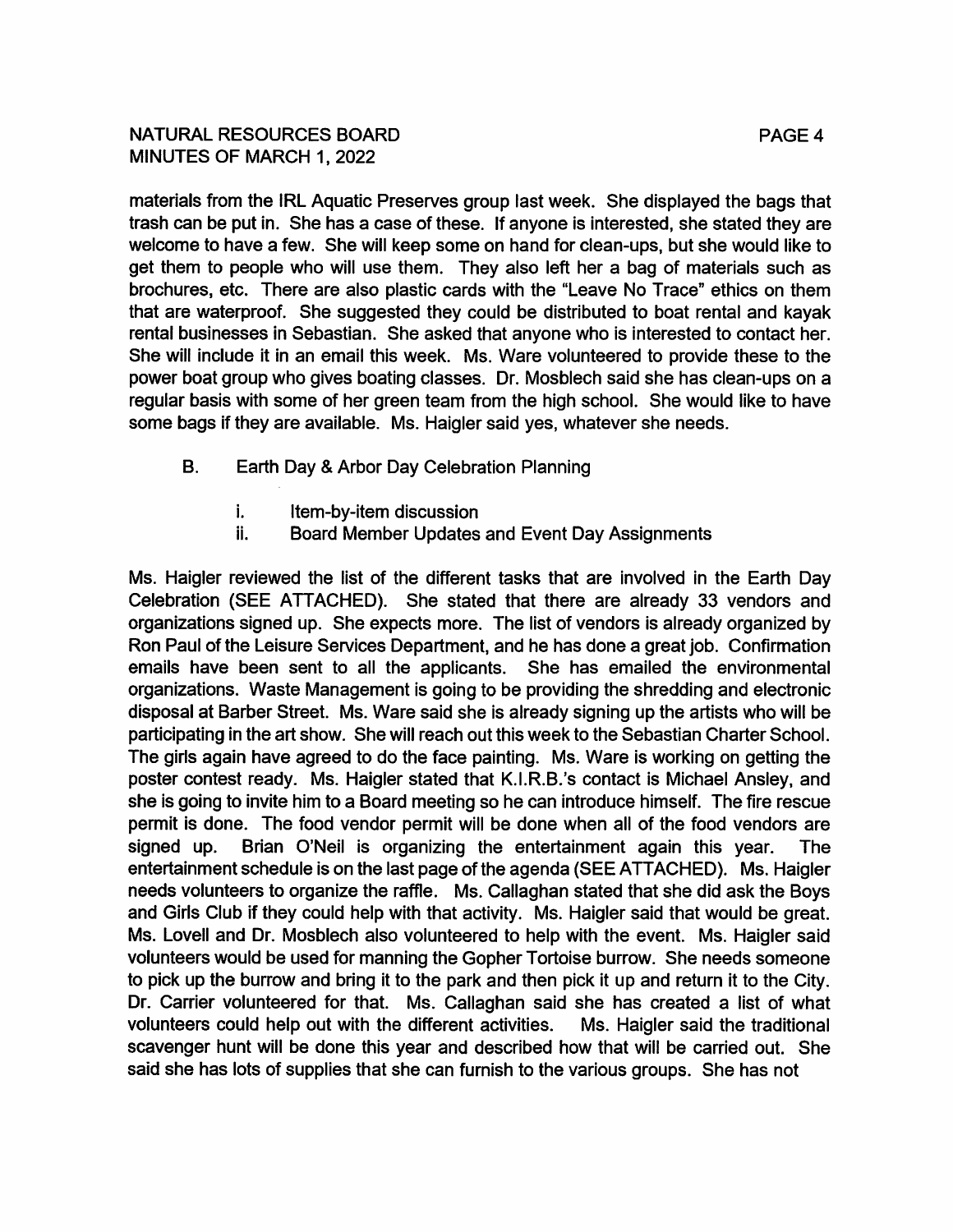## NATURAL RESOURCES BOARD MINUTES OF MARCH 1, 2022

materials from the IRL Aquatic Preserves group last week. She displayed the bags that trash can be put in. She has a case of these. If anyone is interested, she stated they are welcome to have a few. She will keep some on hand for clean-ups, but she would like to get them to people who will use them. They also left her a bag of materials such as brochures, etc. There are also plastic cards with the "Leave No Trace" ethics on them that are waterproof. She suggested they could be distributed to boat rental and kayak rental businesses in Sebastian. She asked that anyone who is interested to contact her. She will include it in an email this week. Ms. Ware volunteered to provide these to the power boat group who gives boating classes. Dr. Mosblech said she has clean-ups on a regular basis with some of her green team from the high school. She would like to have some bags if they are available. Ms. Haigler said yes, whatever she needs.

- **B.** Earth Day & Arbor Day Celebration Planning
	- $\mathbf{i}$ . Item-by-item discussion
	- ii. Board Member Updates and Event Day Assignments

Ms. Haigler reviewed the list of the different tasks that are involved in the Earth Day Celebration (SEE ATTACHED). She stated that there are already 33 vendors and organizations signed up. She expects more. The list of vendors is already organized by Ron Paul of the Leisure Services Department, and he has done a great job. Confirmation emails have been sent to all the applicants. She has emailed the environmental organizations. Waste Management is going to be providing the shredding and electronic disposal at Barber Street. Ms. Ware said she is already signing up the artists who will be participating in the art show. She will reach out this week to the Sebastian Charter School. The girls again have agreed to do the face painting. Ms. Ware is working on getting the poster contest ready. Ms. Haigler stated that K.I.R.B.'s contact is Michael Ansley, and she is going to invite him to a Board meeting so he can introduce himself. The fire rescue permit is done. The food vendor permit will be done when all of the food vendors are signed up. Brian O'Neil is organizing the entertainment again this year. **The** entertainment schedule is on the last page of the agenda (SEE ATTACHED). Ms. Haigler needs volunteers to organize the raffle. Ms. Callaghan stated that she did ask the Boys and Girls Club if they could help with that activity. Ms. Haigler said that would be great. Ms. Lovell and Dr. Mosblech also volunteered to help with the event. Ms. Haigler said volunteers would be used for manning the Gopher Tortoise burrow. She needs someone to pick up the burrow and bring it to the park and then pick it up and return it to the City. Dr. Carrier volunteered for that. Ms. Callaghan said she has created a list of what volunteers could help out with the different activities. Ms. Haigler said the traditional scavenger hunt will be done this year and described how that will be carried out. She said she has lots of supplies that she can furnish to the various groups. She has not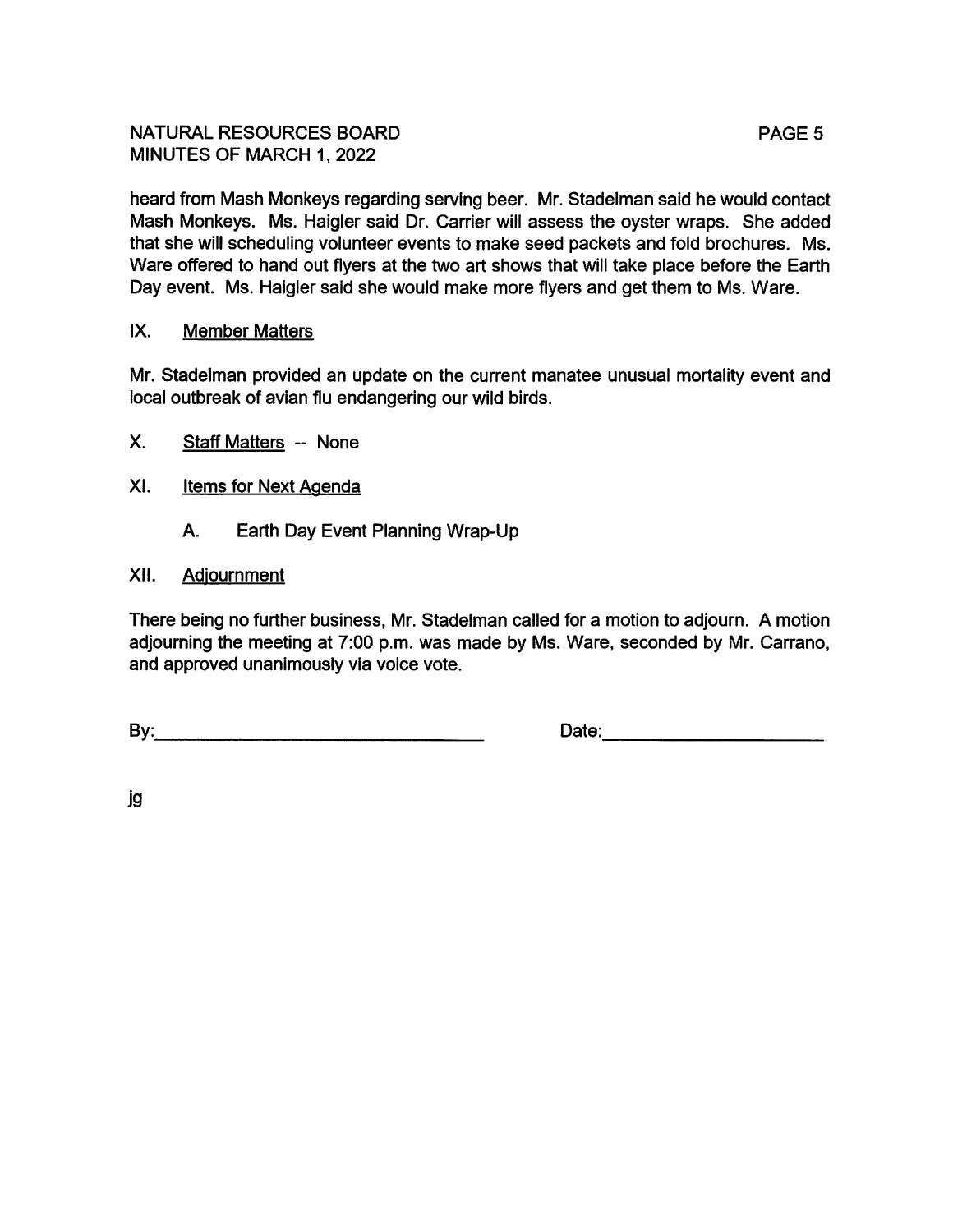heard from Mash Monkeys regarding serving beer. Mr. Stadelman said he would contact Mash Monkeys. Ms. Haigler said Dr. Carrier will assess the oyster wraps. She added that she will scheduling volunteer events to make seed packets and fold brochures. Ms. Ware offered to hand out flyers at the two art shows that will take place before the Earth Day event. Ms. Haigler said she would make more flyers and get them to Ms. Ware.

#### IX. **Member Matters**

Mr. Stadelman provided an update on the current manatee unusual mortality event and local outbreak of avian flu endangering our wild birds.

- $X_{-}$ **Staff Matters -- None**
- XI. **Items for Next Agenda** 
	- Earth Day Event Planning Wrap-Up A.

#### XII. Adjournment

There being no further business, Mr. Stadelman called for a motion to adjourn. A motion adjourning the meeting at 7:00 p.m. was made by Ms. Ware, seconded by Mr. Carrano, and approved unanimously via voice vote.

Date: Note:

jg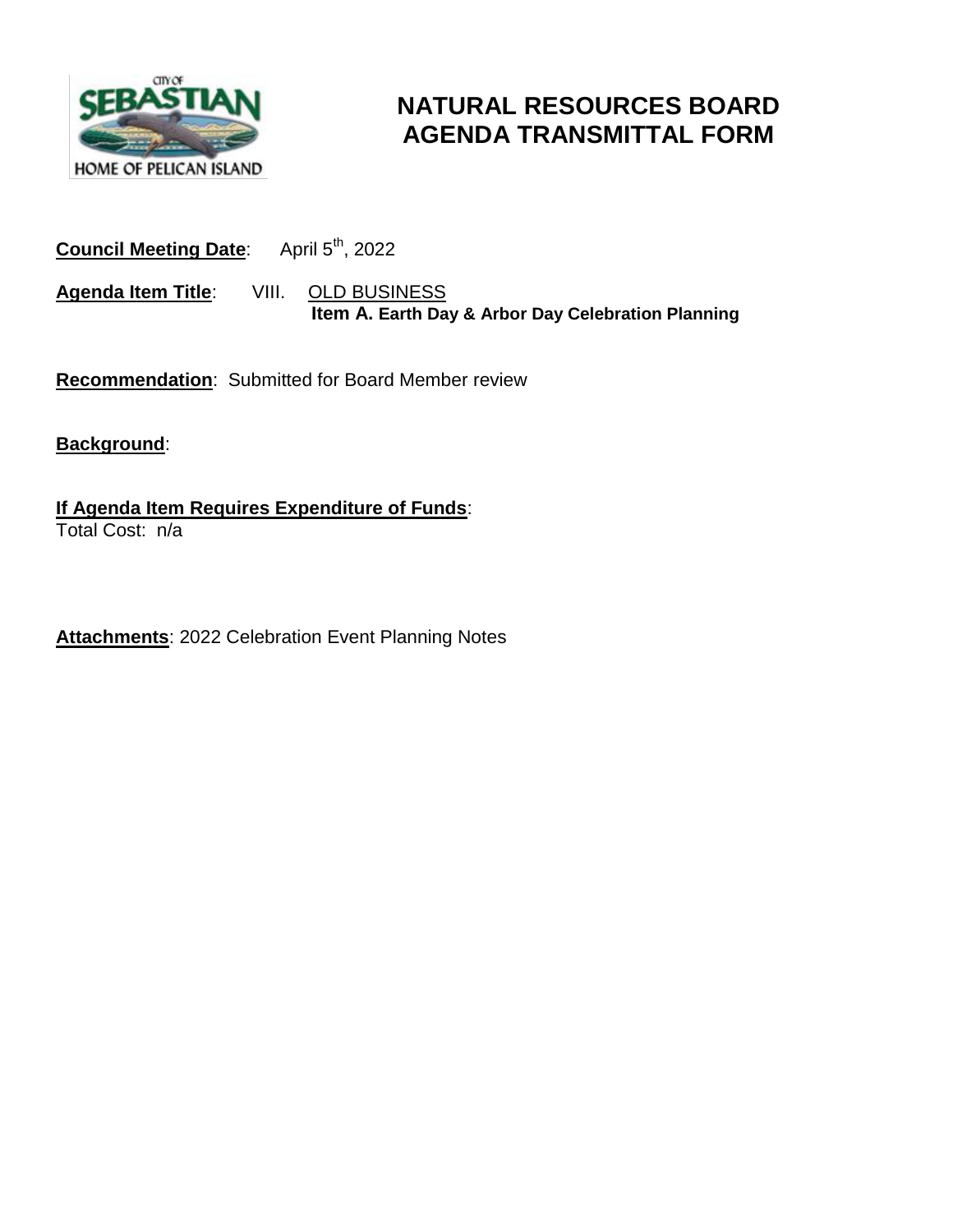

# **NATURAL RESOURCES BOARD AGENDA TRANSMITTAL FORM**

## **Council Meeting Date:** April 5<sup>th</sup>, 2022

**Agenda Item Title**: VIII. OLD BUSINESS  **Item A. Earth Day & Arbor Day Celebration Planning**

**Recommendation**: Submitted for Board Member review

**Background**:

**If Agenda Item Requires Expenditure of Funds**: Total Cost: n/a

**Attachments**: 2022 Celebration Event Planning Notes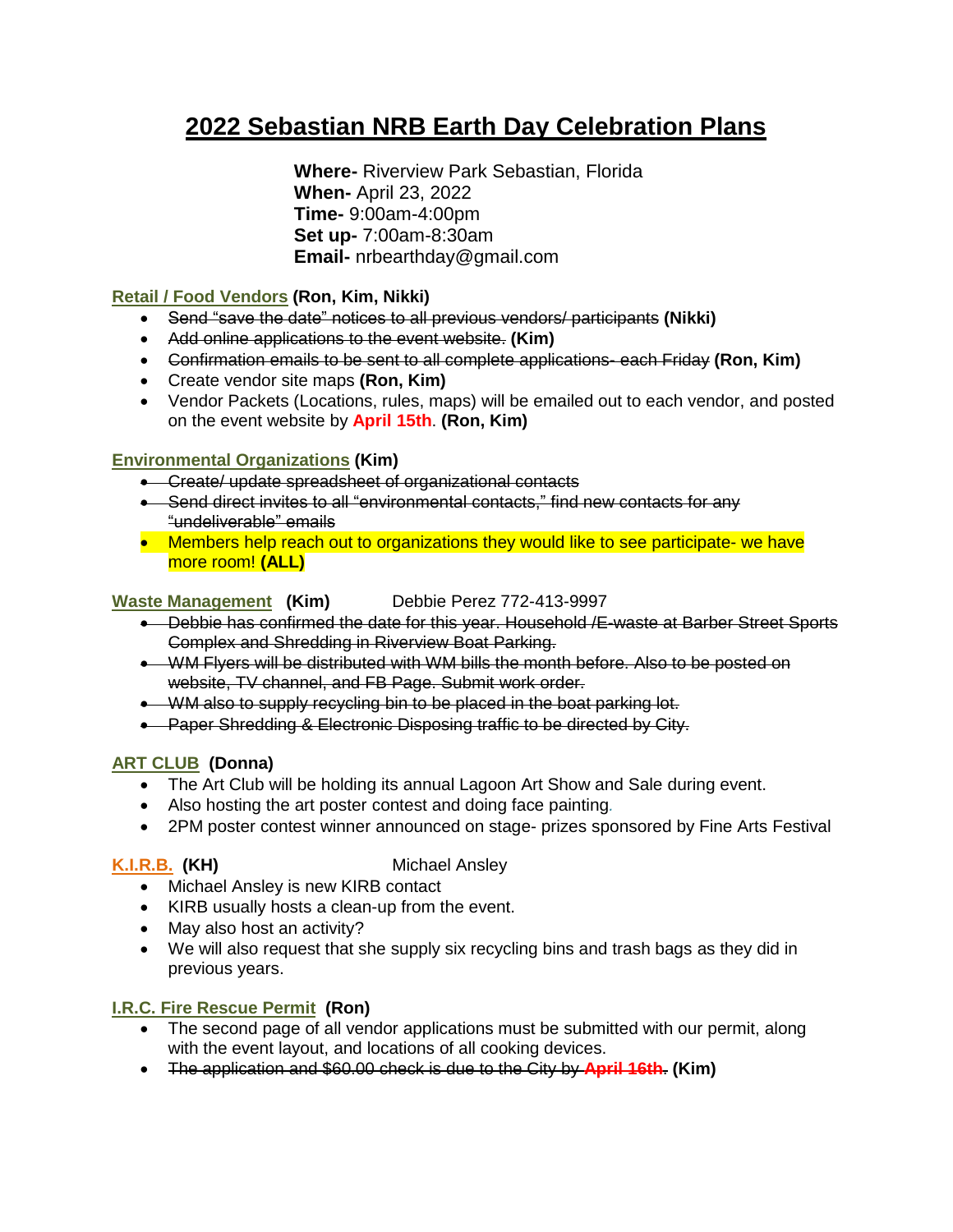# **2022 Sebastian NRB Earth Day Celebration Plans**

**Where-** Riverview Park Sebastian, Florida **When-** April 23, 2022 **Time-** 9:00am-4:00pm **Set up-** 7:00am-8:30am **Email-** nrbearthday@gmail.com

#### **Retail / Food Vendors (Ron, Kim, Nikki)**

- Send "save the date" notices to all previous vendors/ participants **(Nikki)**
- Add online applications to the event website. **(Kim)**
- Confirmation emails to be sent to all complete applications- each Friday **(Ron, Kim)**
- Create vendor site maps **(Ron, Kim)**
- Vendor Packets (Locations, rules, maps) will be emailed out to each vendor, and posted on the event website by **April 15th**. **(Ron, Kim)**

#### **Environmental Organizations (Kim)**

- **•** Create/ update spreadsheet of organizational contacts
- Send direct invites to all "environmental contacts," find new contacts for any "undeliverable" emails
- Members help reach out to organizations they would like to see participate- we have more room! **(ALL)**

#### **Waste Management (Kim)** Debbie Perez 772-413-9997

- Debbie has confirmed the date for this year. Household /E-waste at Barber Street Sports Complex and Shredding in Riverview Boat Parking.
- WM Flyers will be distributed with WM bills the month before. Also to be posted on website, TV channel, and FB Page. Submit work order.
- WM also to supply recycling bin to be placed in the boat parking lot.
- Paper Shredding & Electronic Disposing traffic to be directed by City.

#### **ART CLUB (Donna)**

- The Art Club will be holding its annual Lagoon Art Show and Sale during event.
- Also hosting the art poster contest and doing face painting*.*
- 2PM poster contest winner announced on stage- prizes sponsored by Fine Arts Festival

#### **K.I.R.B. (KH)** Michael Ansley

- Michael Ansley is new KIRB contact
- KIRB usually hosts a clean-up from the event.
- May also host an activity?
- We will also request that she supply six recycling bins and trash bags as they did in previous years.

#### **I.R.C. Fire Rescue Permit (Ron)**

- The second page of all vendor applications must be submitted with our permit, along with the event layout, and locations of all cooking devices.
- The application and \$60.00 check is due to the City by **April 16th**. **(Kim)**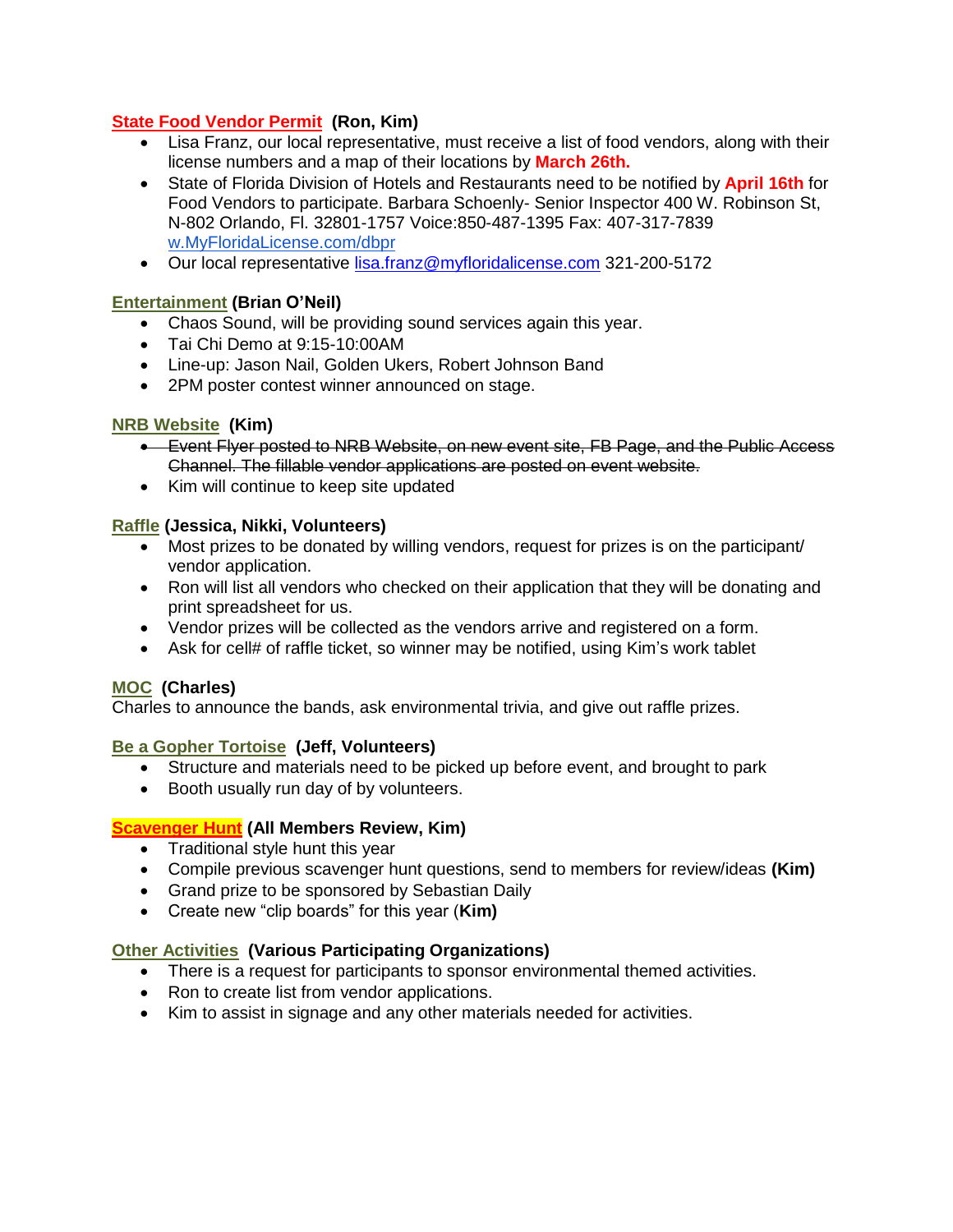#### **State Food Vendor Permit (Ron, Kim)**

- Lisa Franz, our local representative, must receive a list of food vendors, along with their license numbers and a map of their locations by **March 26th.**
- State of Florida Division of Hotels and Restaurants need to be notified by **April 16th** for Food Vendors to participate. Barbara Schoenly- Senior Inspector 400 W. Robinson St, N-802 Orlando, Fl. 32801-1757 Voice:850-487-1395 Fax: 407-317-7839 [w.MyFloridaLicense.com/dbpr](http://www.myfloridalicense.com/dbpr)
- Our local representative [lisa.franz@myfloridalicense.com](mailto:lisa.franz@myfloridalicense.com) 321-200-5172

#### **Entertainment (Brian O'Neil)**

- Chaos Sound, will be providing sound services again this year.
- Tai Chi Demo at 9:15-10:00AM
- Line-up: Jason Nail, Golden Ukers, Robert Johnson Band
- 2PM poster contest winner announced on stage.

#### **NRB Website (Kim)**

- Event Flyer posted to NRB Website, on new event site, FB Page, and the Public Access Channel. The fillable vendor applications are posted on event website.
- Kim will continue to keep site updated

#### **Raffle (Jessica, Nikki, Volunteers)**

- Most prizes to be donated by willing vendors, request for prizes is on the participant/ vendor application.
- Ron will list all vendors who checked on their application that they will be donating and print spreadsheet for us.
- Vendor prizes will be collected as the vendors arrive and registered on a form.
- Ask for cell# of raffle ticket, so winner may be notified, using Kim's work tablet

#### **MOC (Charles)**

Charles to announce the bands, ask environmental trivia, and give out raffle prizes.

#### **Be a Gopher Tortoise (Jeff, Volunteers)**

- Structure and materials need to be picked up before event, and brought to park
- Booth usually run day of by volunteers.

#### **Scavenger Hunt (All Members Review, Kim)**

- Traditional style hunt this year
- Compile previous scavenger hunt questions, send to members for review/ideas **(Kim)**
- Grand prize to be sponsored by Sebastian Daily
- Create new "clip boards" for this year (**Kim)**

#### **Other Activities (Various Participating Organizations)**

- There is a request for participants to sponsor environmental themed activities.
- Ron to create list from vendor applications.
- Kim to assist in signage and any other materials needed for activities.